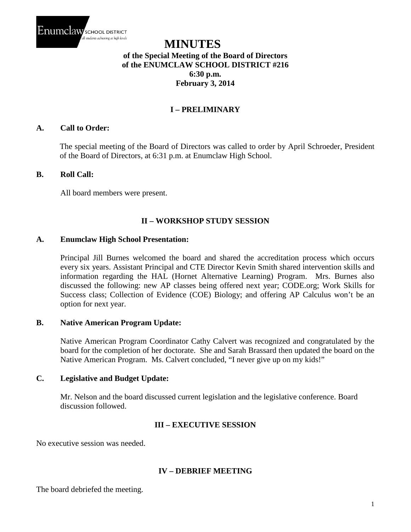

# **MINUTES of the Special Meeting of the Board of Directors of the ENUMCLAW SCHOOL DISTRICT #216 6:30 p.m. February 3, 2014**

## **I – PRELIMINARY**

#### **A. Call to Order:**

The special meeting of the Board of Directors was called to order by April Schroeder, President of the Board of Directors, at 6:31 p.m. at Enumclaw High School.

#### **B. Roll Call:**

All board members were present.

### **II – WORKSHOP STUDY SESSION**

#### **A. Enumclaw High School Presentation:**

Principal Jill Burnes welcomed the board and shared the accreditation process which occurs every six years. Assistant Principal and CTE Director Kevin Smith shared intervention skills and information regarding the HAL (Hornet Alternative Learning) Program. Mrs. Burnes also discussed the following: new AP classes being offered next year; CODE.org; Work Skills for Success class; Collection of Evidence (COE) Biology; and offering AP Calculus won't be an option for next year.

#### **B. Native American Program Update:**

Native American Program Coordinator Cathy Calvert was recognized and congratulated by the board for the completion of her doctorate. She and Sarah Brassard then updated the board on the Native American Program. Ms. Calvert concluded, "I never give up on my kids!"

#### **C. Legislative and Budget Update:**

Mr. Nelson and the board discussed current legislation and the legislative conference. Board discussion followed.

### **III – EXECUTIVE SESSION**

No executive session was needed.

#### **IV – DEBRIEF MEETING**

The board debriefed the meeting.